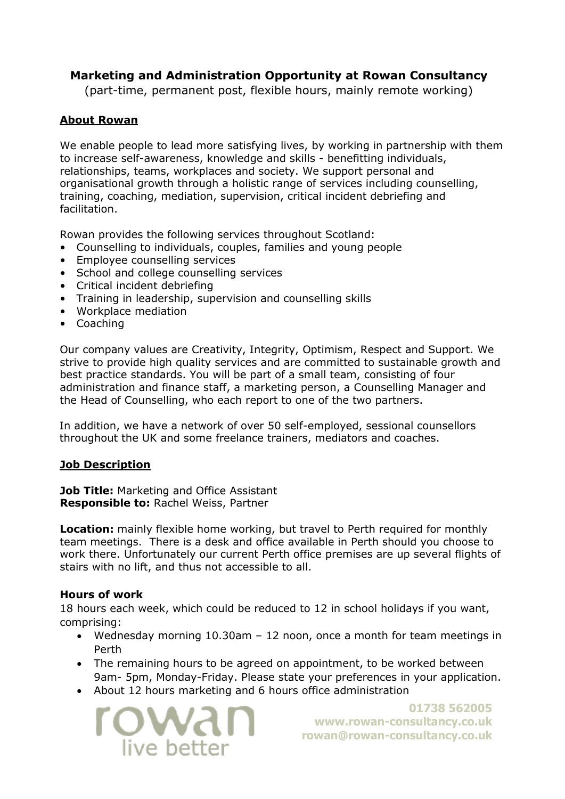# **Marketing and Administration Opportunity at Rowan Consultancy**

(part-time, permanent post, flexible hours, mainly remote working)

# **About Rowan**

We enable people to lead more satisfying lives, by working in partnership with them to increase self-awareness, knowledge and skills - benefitting individuals, relationships, teams, workplaces and society. We support personal and organisational growth through a holistic range of services including counselling, training, coaching, mediation, supervision, critical incident debriefing and facilitation.

Rowan provides the following services throughout Scotland:

- Counselling to individuals, couples, families and young people
- Employee counselling services
- School and college counselling services
- Critical incident debriefing
- Training in leadership, supervision and counselling skills
- Workplace mediation
- Coaching

Our company values are Creativity, Integrity, Optimism, Respect and Support. We strive to provide high quality services and are committed to sustainable growth and best practice standards. You will be part of a small team, consisting of four administration and finance staff, a marketing person, a Counselling Manager and the Head of Counselling, who each report to one of the two partners.

In addition, we have a network of over 50 self-employed, sessional counsellors throughout the UK and some freelance trainers, mediators and coaches.

## **Job Description**

**Job Title: Marketing and Office Assistant Responsible to:** Rachel Weiss, Partner

**Location:** mainly flexible home working, but travel to Perth required for monthly team meetings. There is a desk and office available in Perth should you choose to work there. Unfortunately our current Perth office premises are up several flights of stairs with no lift, and thus not accessible to all.

### **Hours of work**

18 hours each week, which could be reduced to 12 in school holidays if you want, comprising:

- Wednesday morning 10.30am 12 noon, once a month for team meetings in Perth
- The remaining hours to be agreed on appointment, to be worked between 9am- 5pm, Monday-Friday. Please state your preferences in your application.
- About 12 hours marketing and 6 hours office administration



**01738 562005 [www.rowan-consultancy.co.uk](http://www.rowan-consultancy.co.uk/) [rowan@rowan-consultancy.co.uk](mailto:rowan@rowan-consultancy.co.uk)**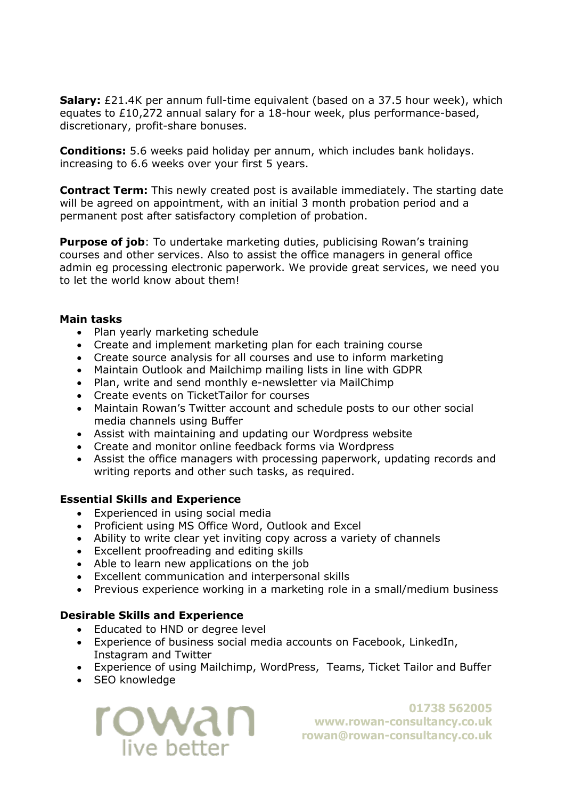**Salary:** £21.4K per annum full-time equivalent (based on a 37.5 hour week), which equates to £10,272 annual salary for a 18-hour week, plus performance-based, discretionary, profit-share bonuses.

**Conditions:** 5.6 weeks paid holiday per annum, which includes bank holidays. increasing to 6.6 weeks over your first 5 years.

**Contract Term:** This newly created post is available immediately. The starting date will be agreed on appointment, with an initial 3 month probation period and a permanent post after satisfactory completion of probation.

**Purpose of job**: To undertake marketing duties, publicising Rowan's training courses and other services. Also to assist the office managers in general office admin eg processing electronic paperwork. We provide great services, we need you to let the world know about them!

#### **Main tasks**

- Plan yearly marketing schedule
- Create and implement marketing plan for each training course
- Create source analysis for all courses and use to inform marketing
- Maintain Outlook and Mailchimp mailing lists in line with GDPR
- Plan, write and send monthly e-newsletter via MailChimp
- Create events on TicketTailor for courses
- Maintain Rowan's Twitter account and schedule posts to our other social media channels using Buffer
- Assist with maintaining and updating our Wordpress website
- Create and monitor online feedback forms via Wordpress
- Assist the office managers with processing paperwork, updating records and writing reports and other such tasks, as required.

#### **Essential Skills and Experience**

- Experienced in using social media
- Proficient using MS Office Word, Outlook and Excel
- Ability to write clear yet inviting copy across a variety of channels
- Excellent proofreading and editing skills
- Able to learn new applications on the job
- Excellent communication and interpersonal skills
- Previous experience working in a marketing role in a small/medium business

### **Desirable Skills and Experience**

- Educated to HND or degree level
- Experience of business social media accounts on Facebook, LinkedIn, Instagram and Twitter
- Experience of using Mailchimp, WordPress, Teams, Ticket Tailor and Buffer
- SEO knowledge



**01738 562005 [www.rowan-consultancy.co.uk](http://www.rowan-consultancy.co.uk/) [rowan@rowan-consultancy.co.uk](mailto:rowan@rowan-consultancy.co.uk)**